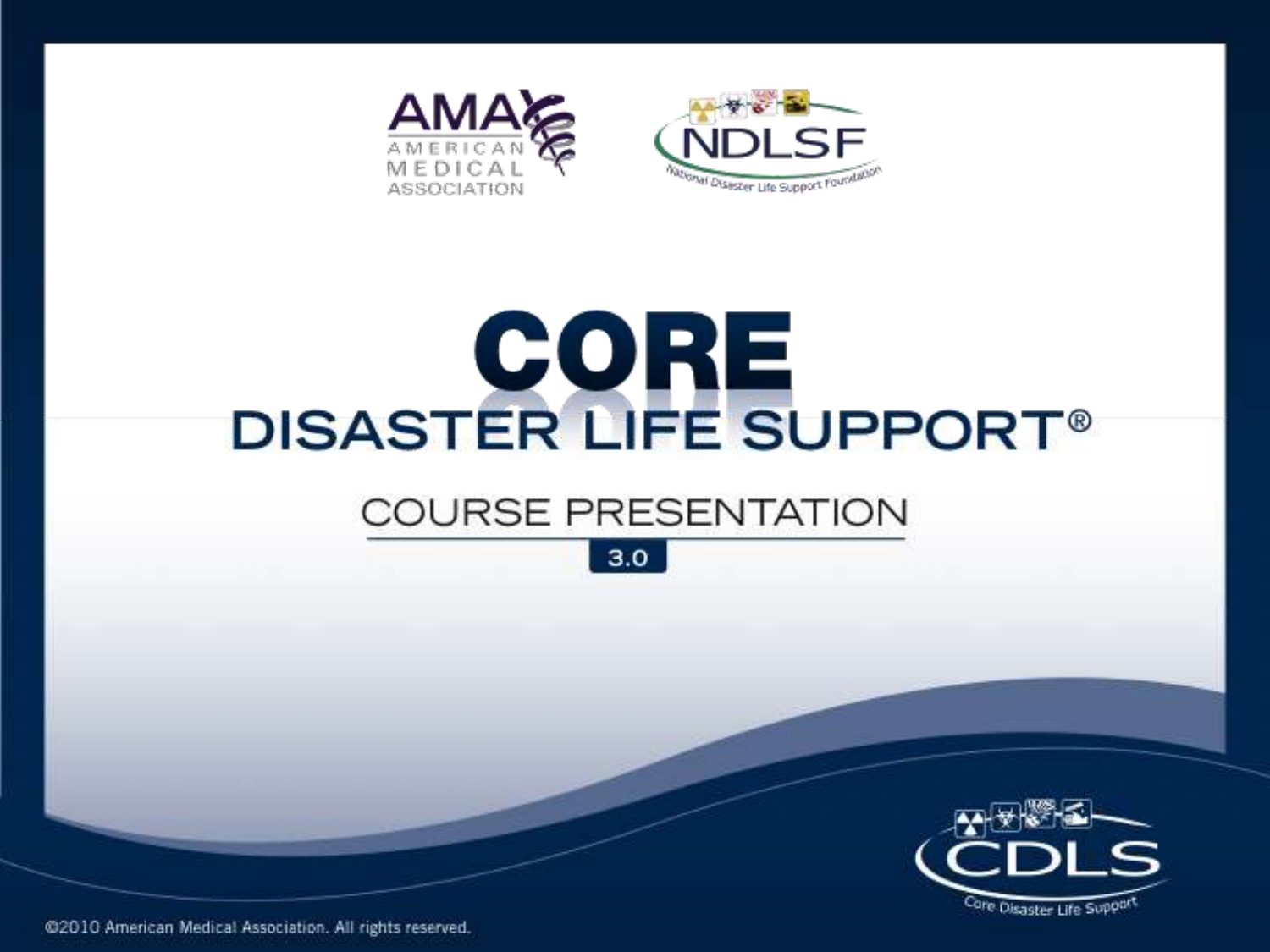



# DISASTER LIFE SUPPORT®

#### **COURSE PRESENTATION**





@2010 American Medical Association. All rights reserved.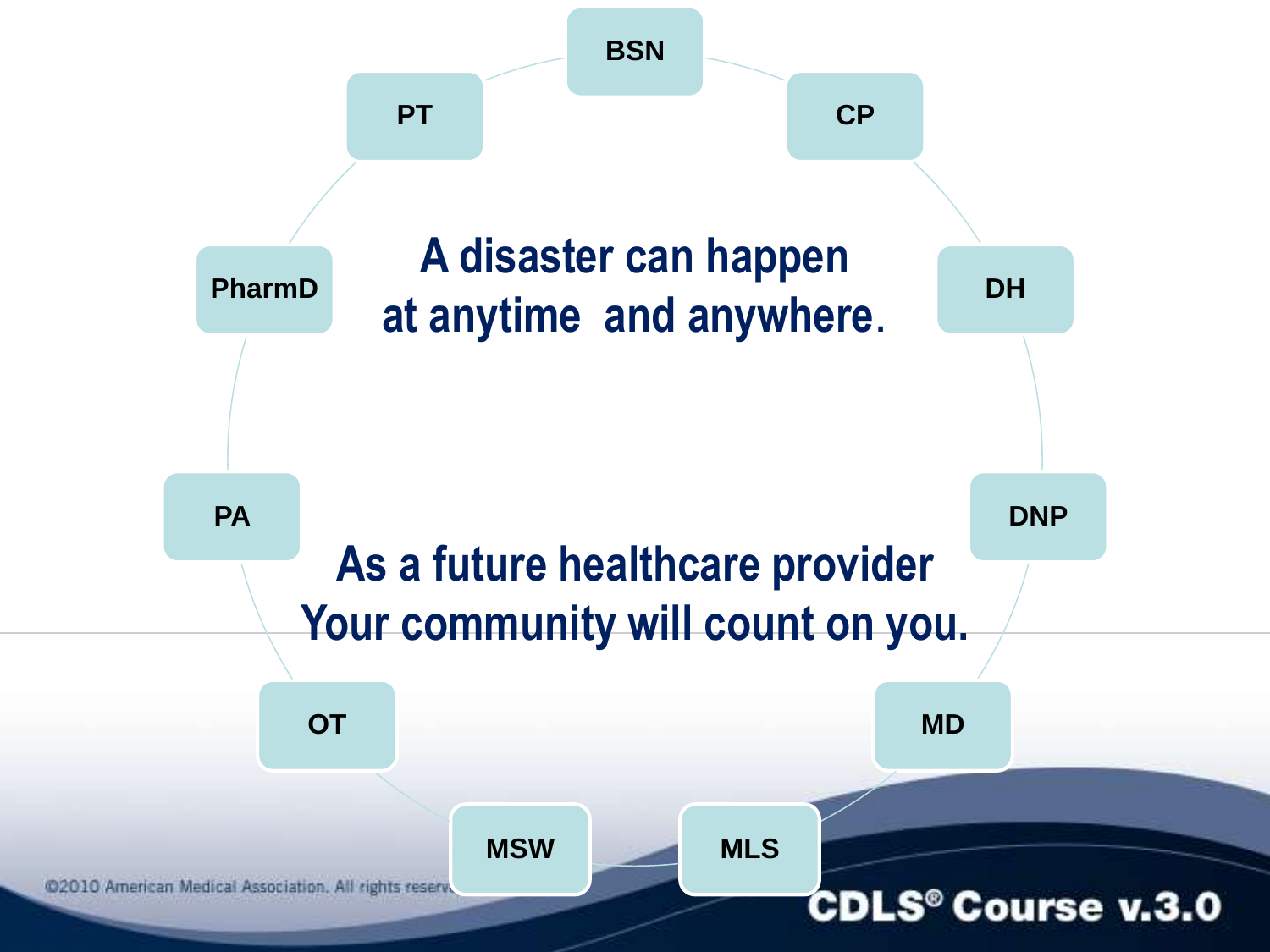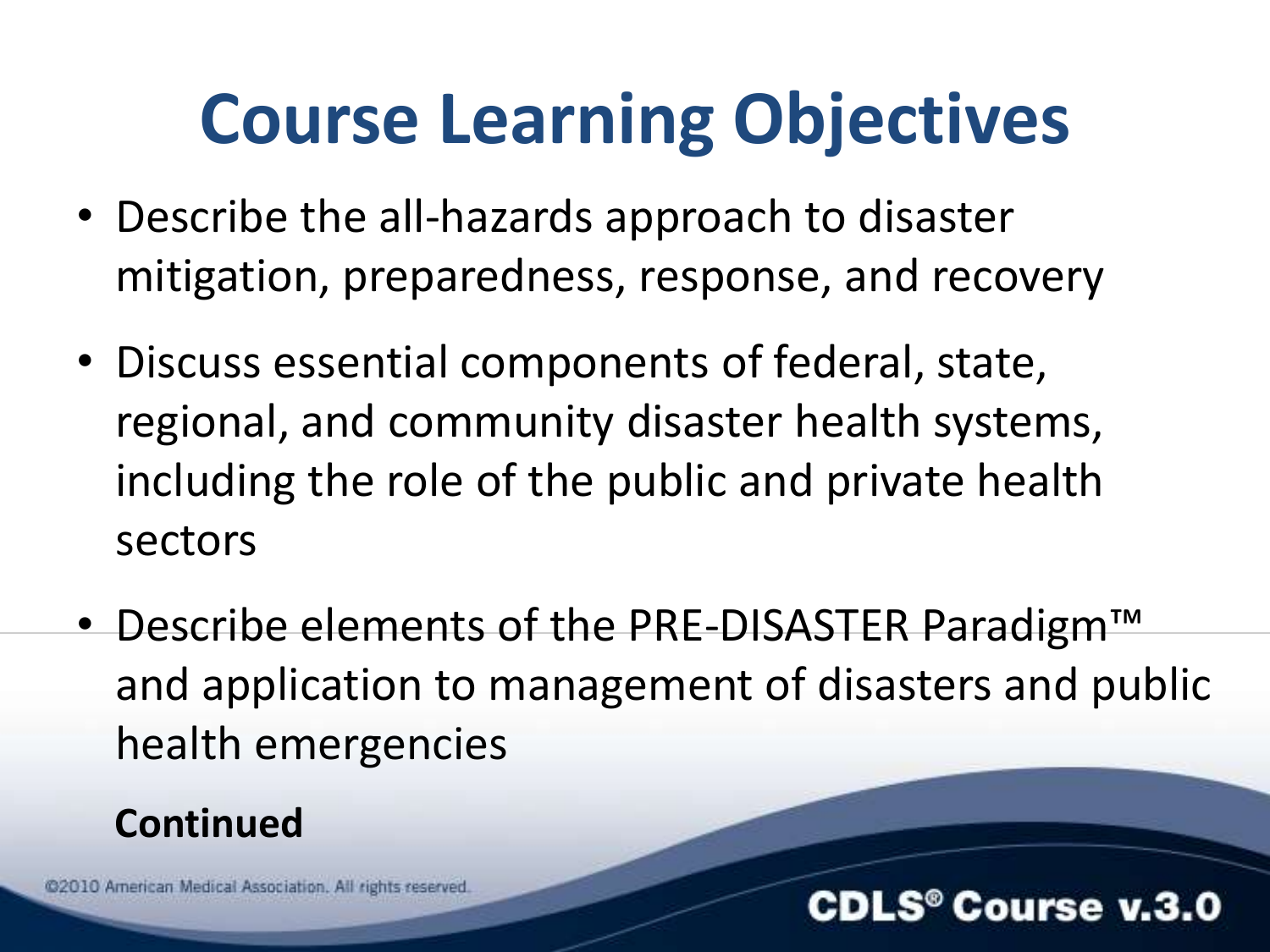### **Course Learning Objectives**

- Describe the all-hazards approach to disaster mitigation, preparedness, response, and recovery
- Discuss essential components of federal, state, regional, and community disaster health systems, including the role of the public and private health sectors
- Describe elements of the PRE-DISASTER Paradigm™ and application to management of disasters and public health emergencies

#### **Continued**

@2010 American Medical Association. All rights reserved

#### $\mathbf{.S}^{\circ}$  Course v.3.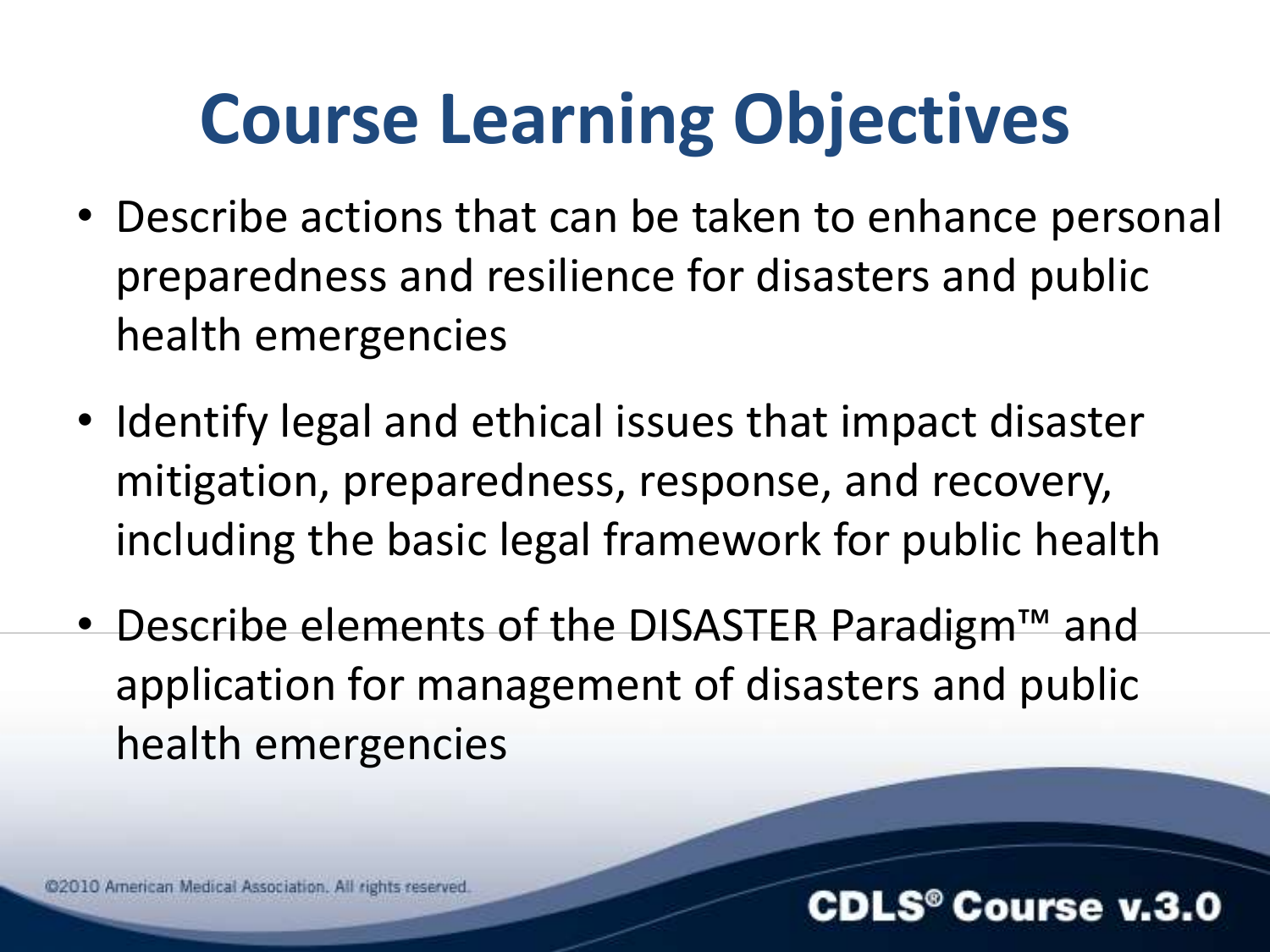### **Course Learning Objectives**

- Describe actions that can be taken to enhance personal preparedness and resilience for disasters and public health emergencies
- Identify legal and ethical issues that impact disaster mitigation, preparedness, response, and recovery, including the basic legal framework for public health
- Describe elements of the DISASTER Paradigm™ and application for management of disasters and public health emergencies

@2010 American Medical Association. All rights reserved

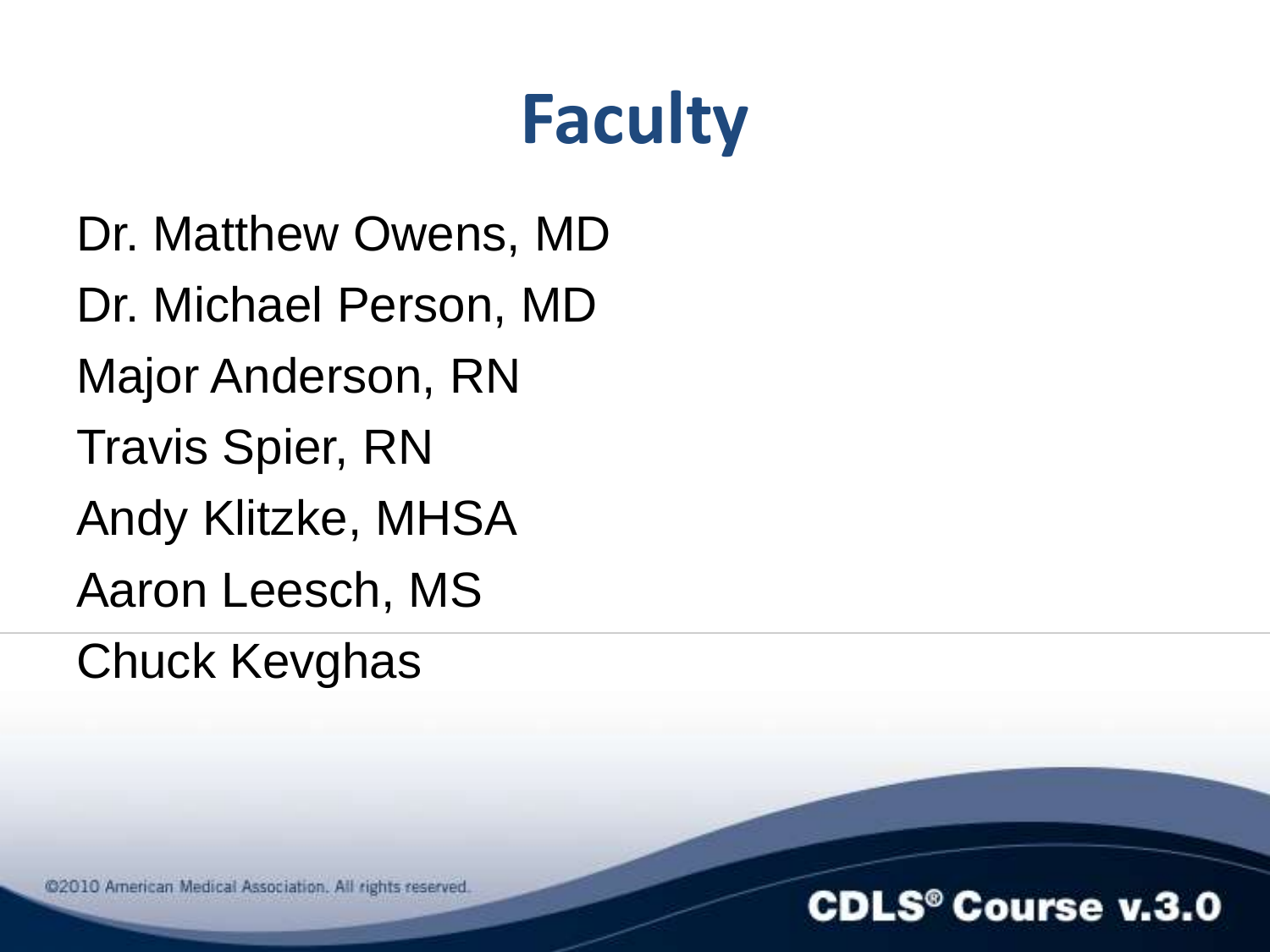### **Faculty**

Dr. Matthew Owens, MD Dr. Michael Person, MD Major Anderson, RN Travis Spier, RN Andy Klitzke, MHSA Aaron Leesch, MS Chuck Kevghas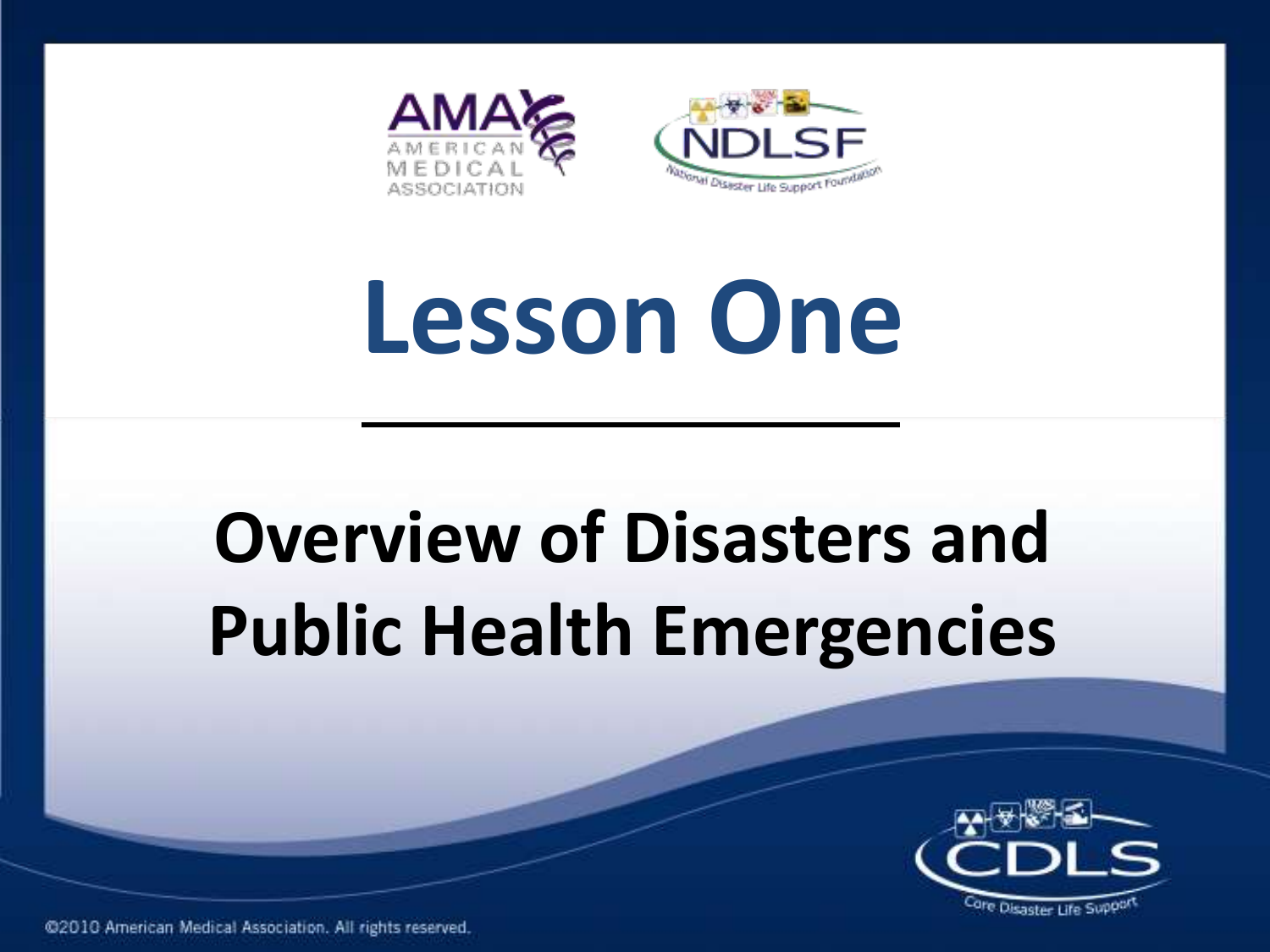

# **Lesson One**

### **Overview of Disasters and Public Health Emergencies**



@2010 American Medical Association. All rights reserved.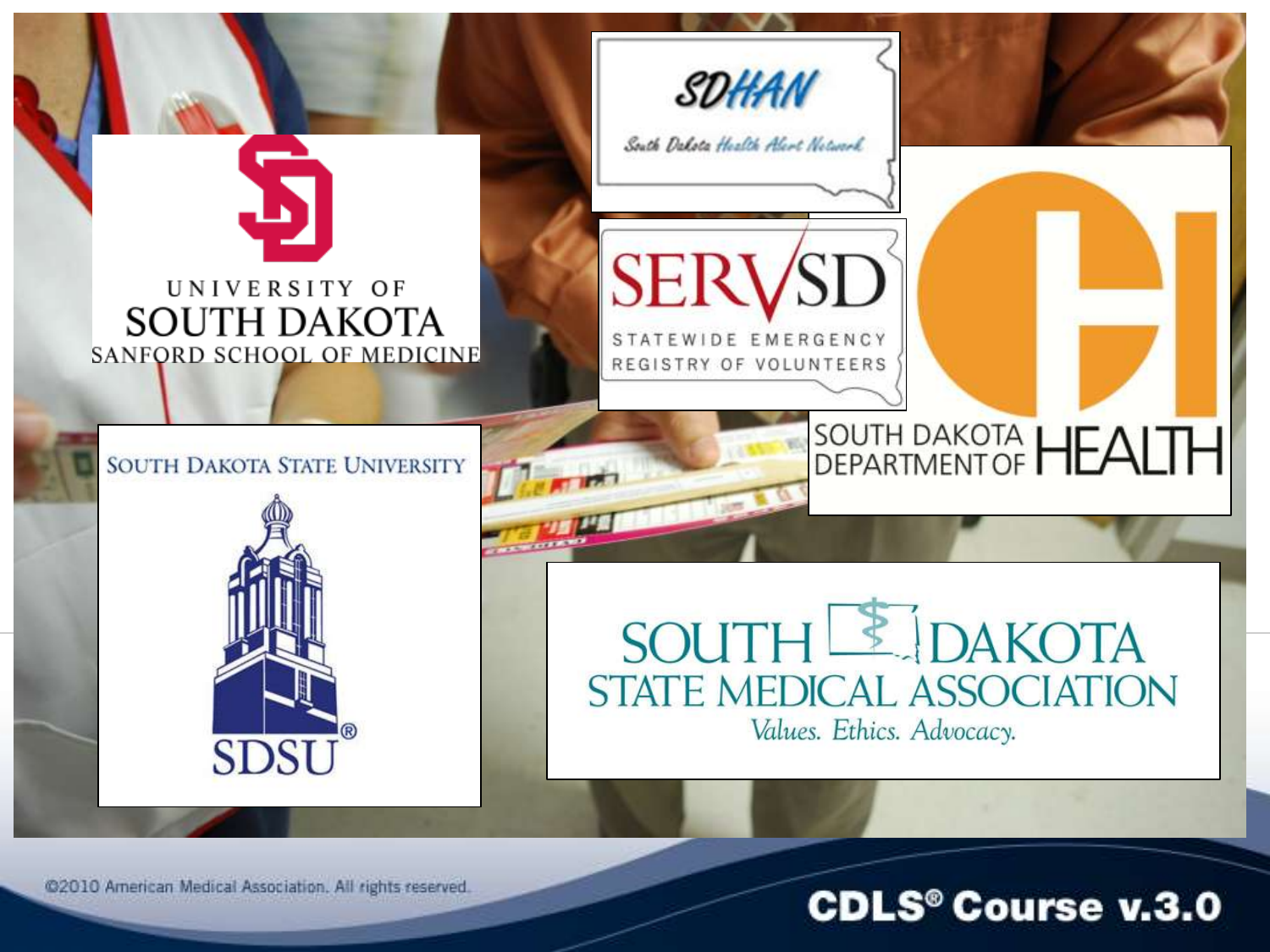

@2010 American Medical Association. All rights reserved.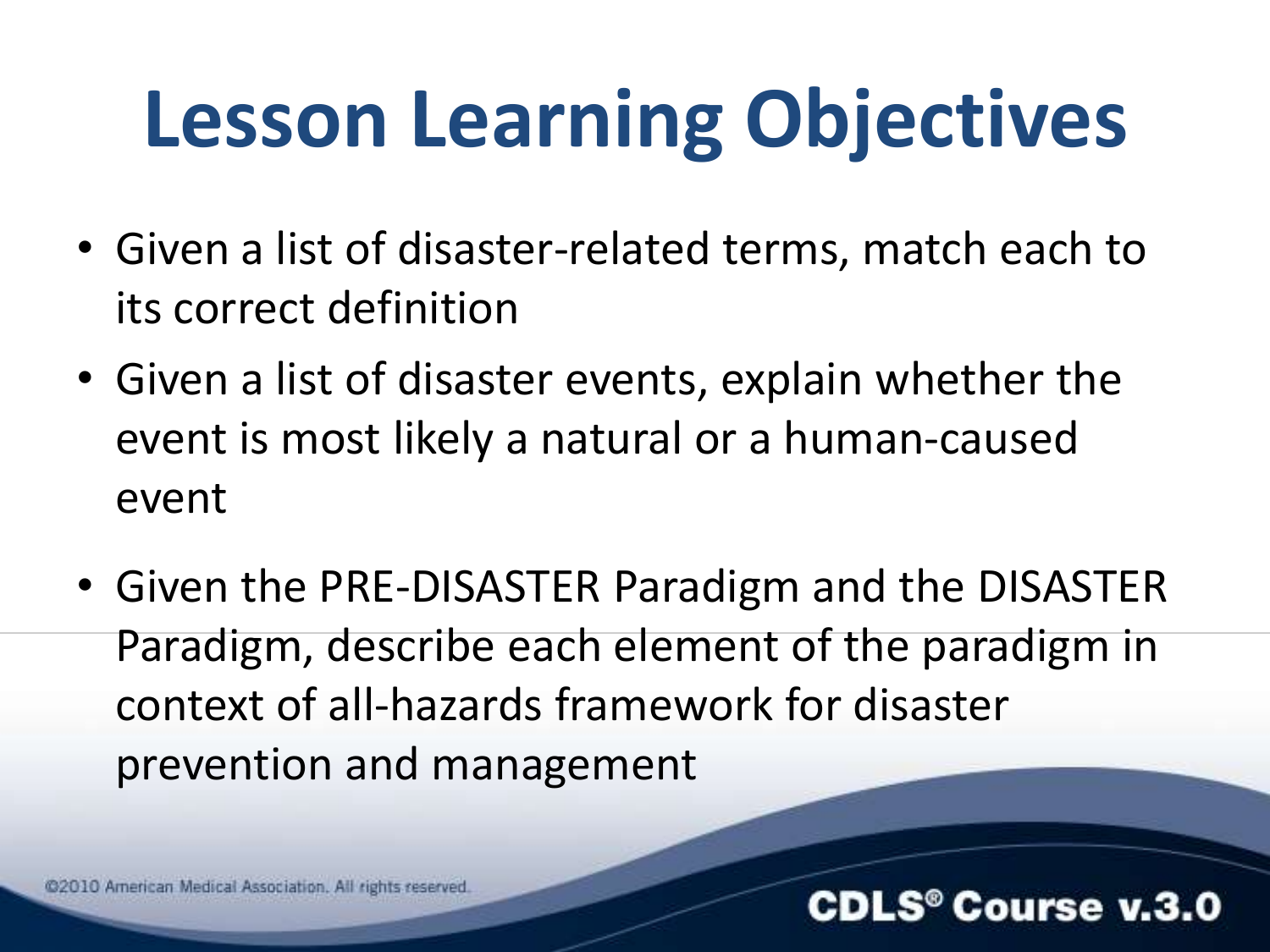### **Lesson Learning Objectives**

- Given a list of disaster-related terms, match each to its correct definition
- Given a list of disaster events, explain whether the event is most likely a natural or a human-caused event
- Given the PRE-DISASTER Paradigm and the DISASTER Paradigm, describe each element of the paradigm in context of all-hazards framework for disaster prevention and management

@2010 American Medical Association. All rights reserved

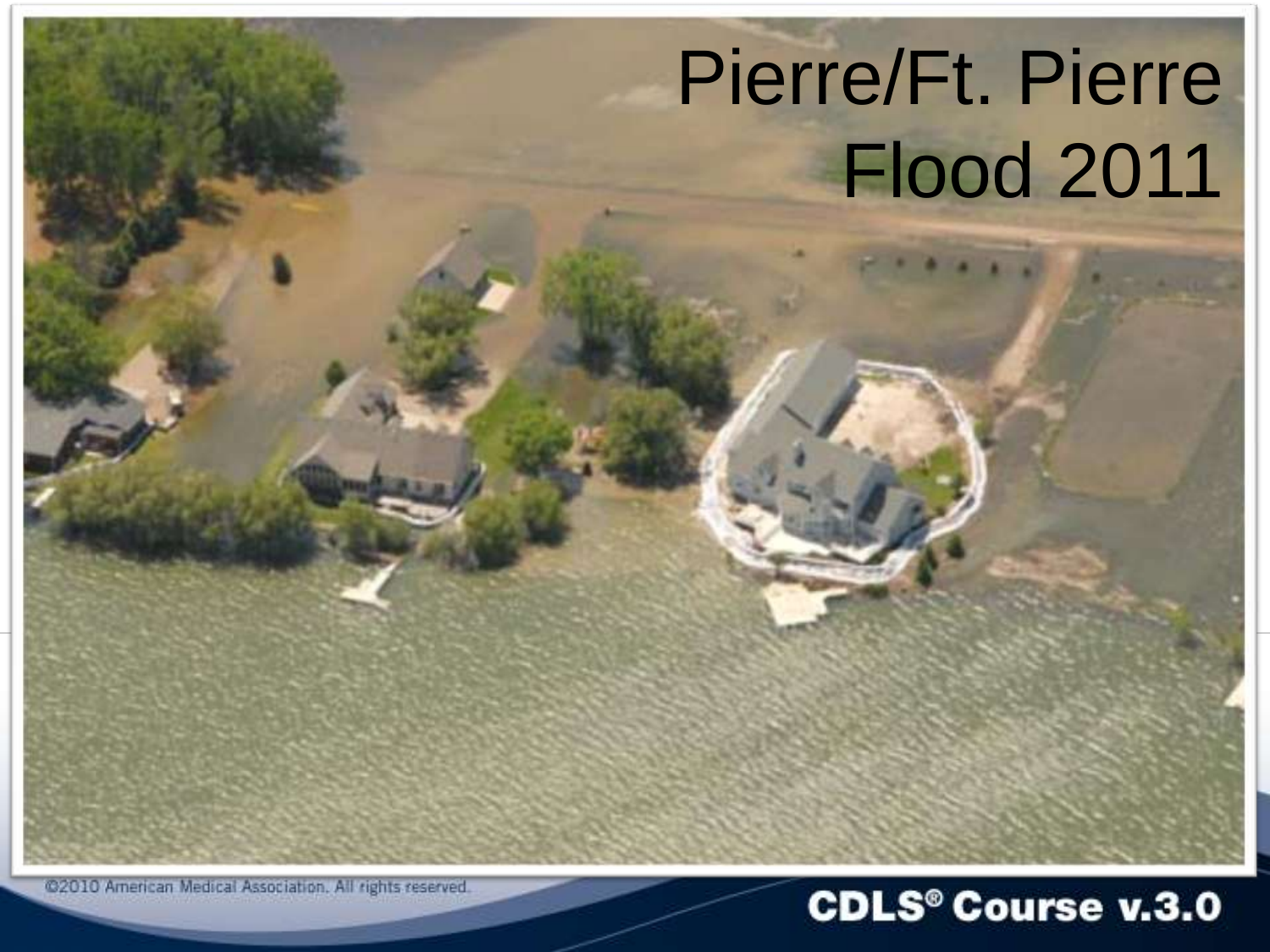### Pierre/Ft. Pierre Flood 2011

@2010 American Medical Association. All rights reserved.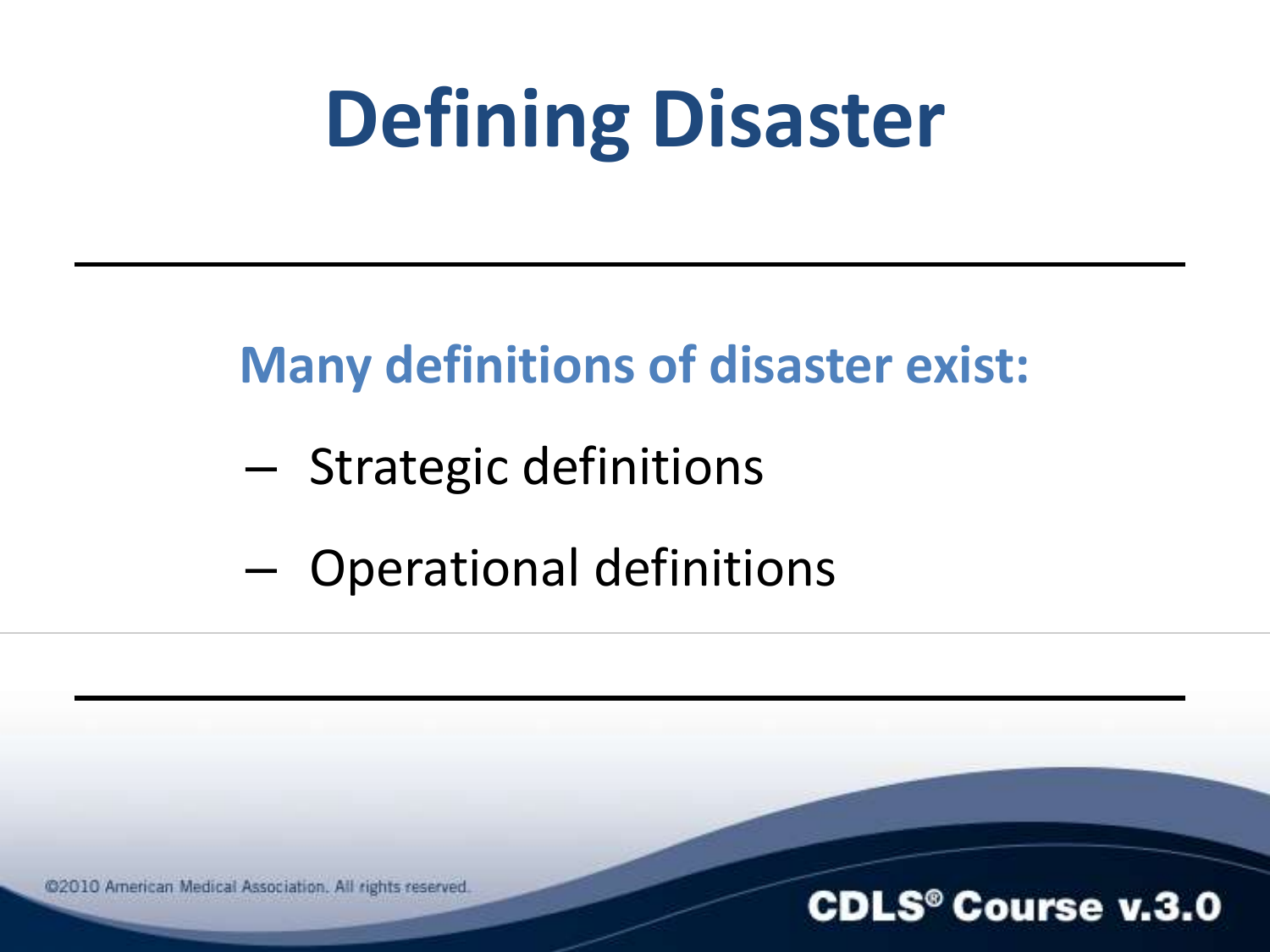### **Defining Disaster**

### **Many definitions of disaster exist:**

- Strategic definitions
- Operational definitions

@2010 American Medical Association. All rights reserved.

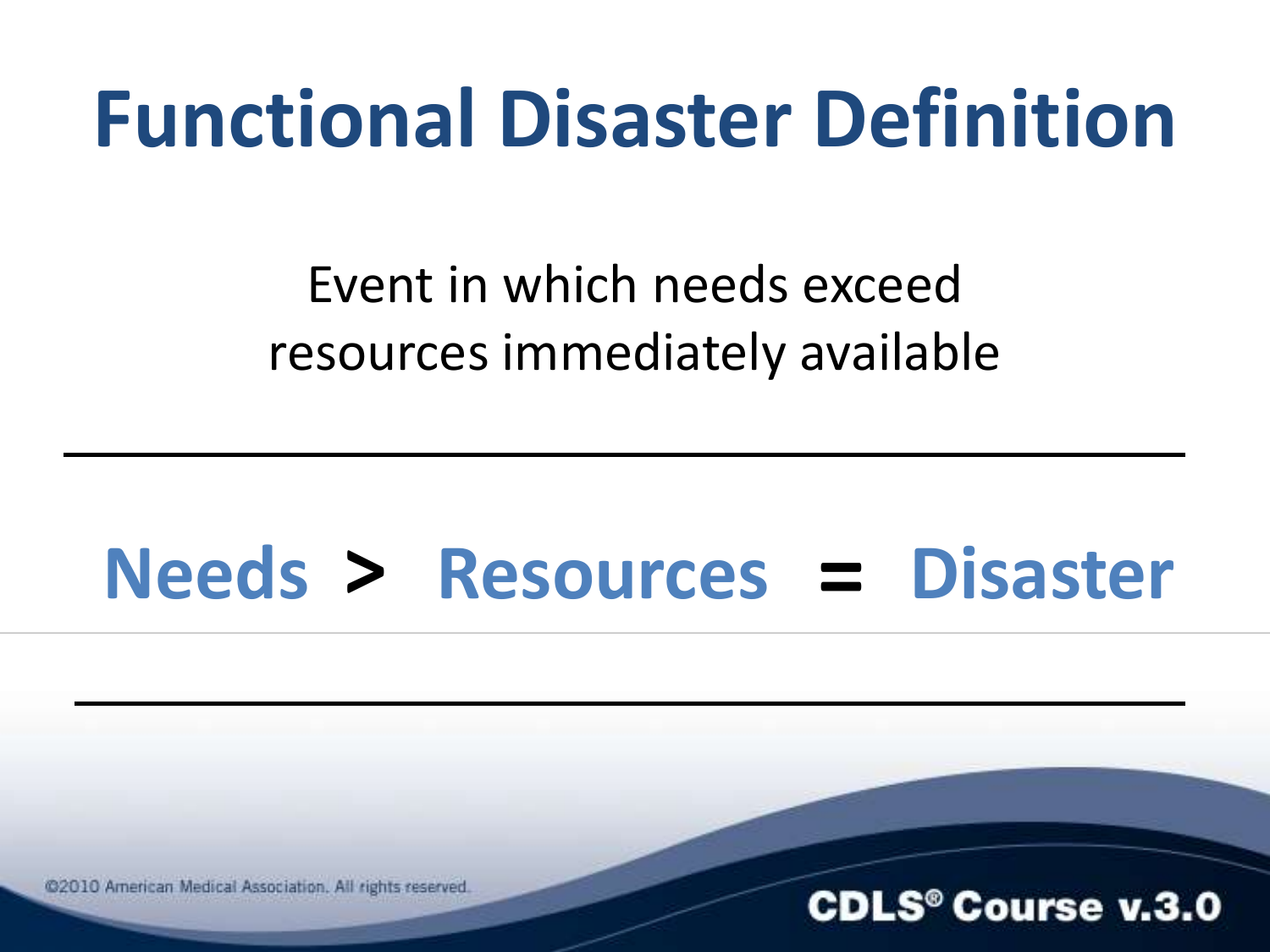### **Functional Disaster Definition**

Event in which needs exceed resources immediately available

### **Needs > Resources = Disaster**

@2010 American Medical Association. All rights reserved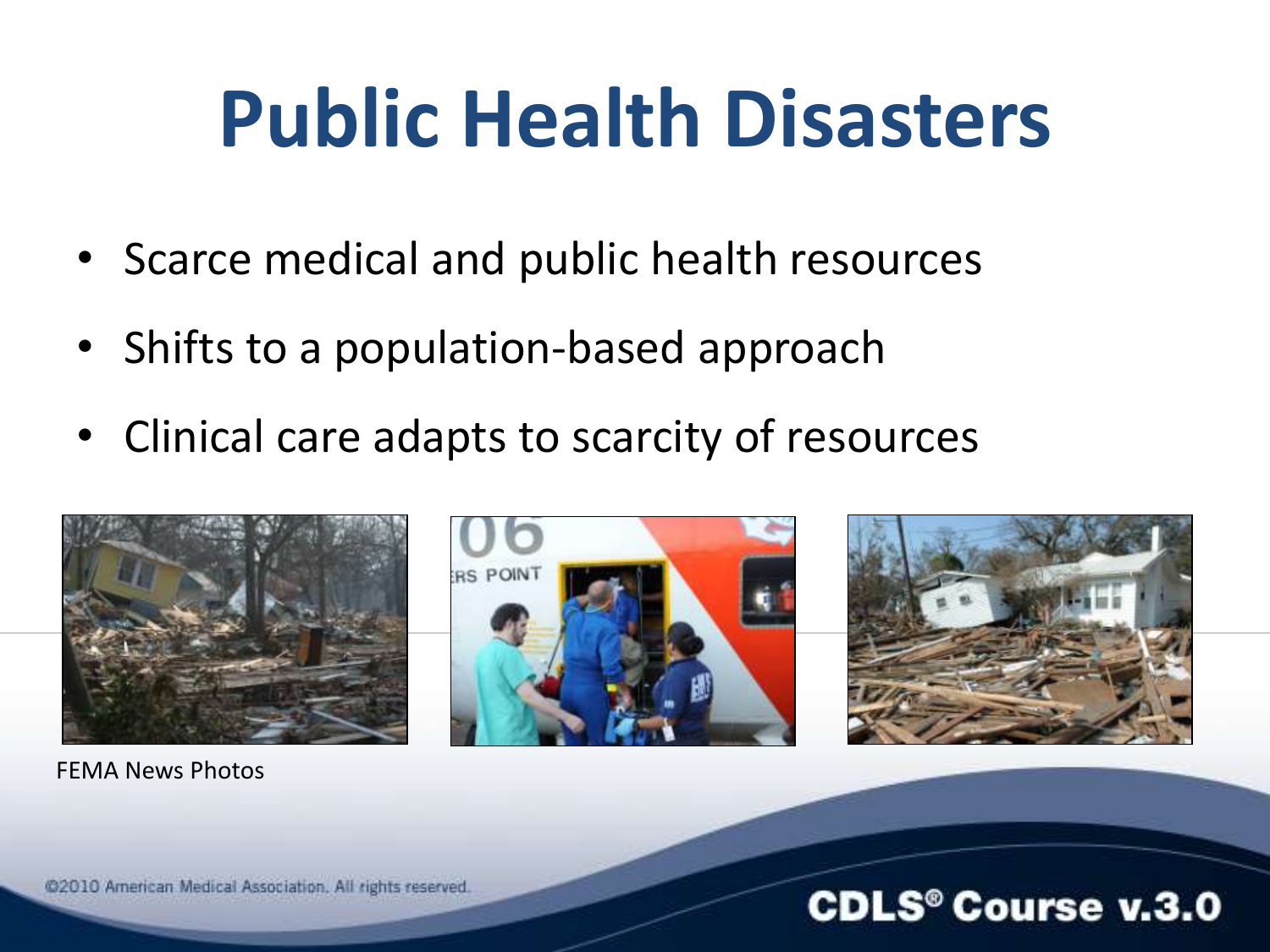### **Public Health Disasters**

- Scarce medical and public health resources
- Shifts to a population-based approach
- Clinical care adapts to scarcity of resources



FEMA News Photos





#### @2010 American Medical Association. All rights reserved.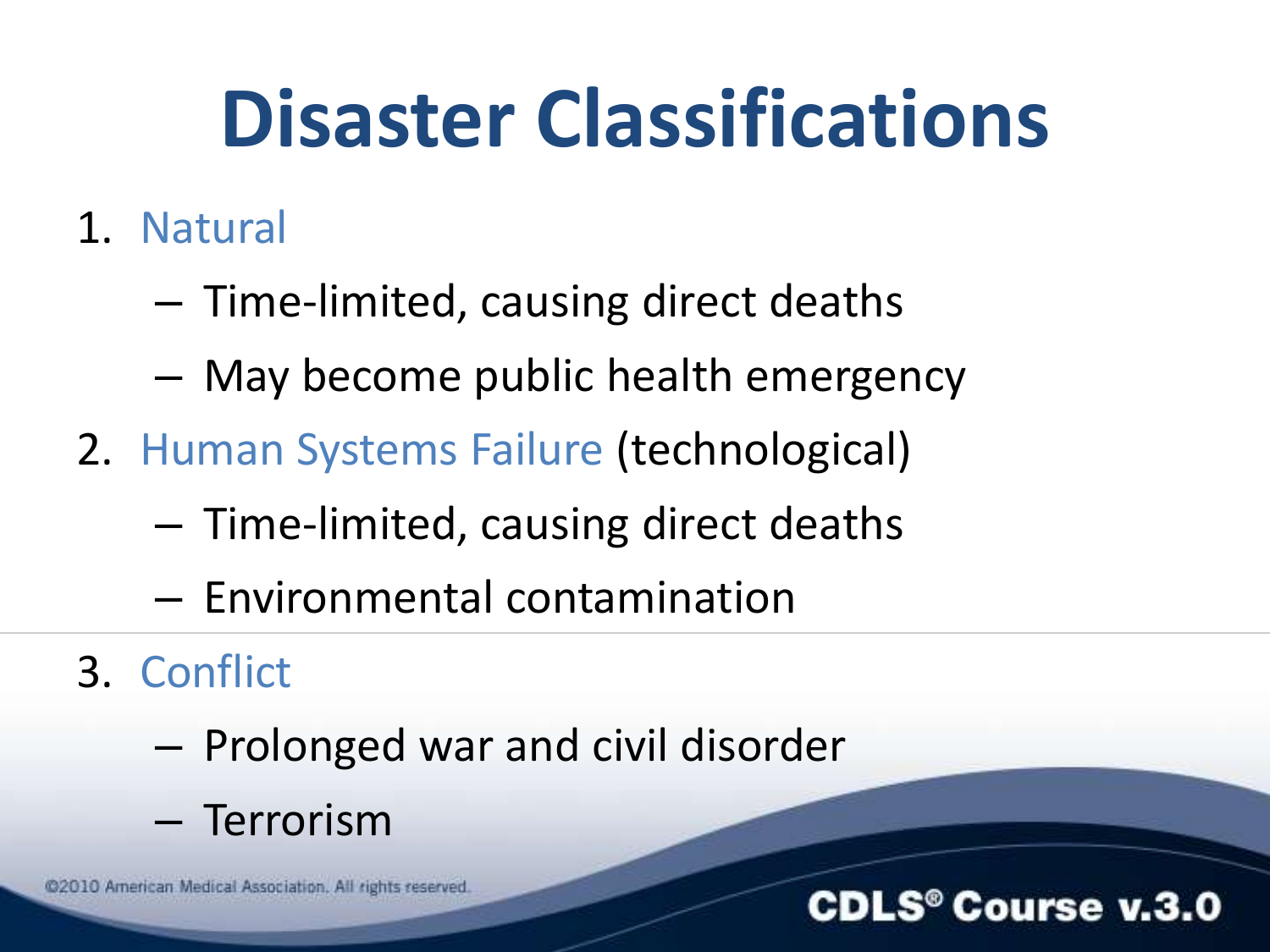### **Disaster Classifications**

- 1. Natural
	- Time-limited, causing direct deaths
	- May become public health emergency
- 2. Human Systems Failure (technological)
	- Time-limited, causing direct deaths
	- Environmental contamination
- 3. Conflict
	- Prolonged war and civil disorder
	- Terrorism

@2010 American Medical Association. All rights reserved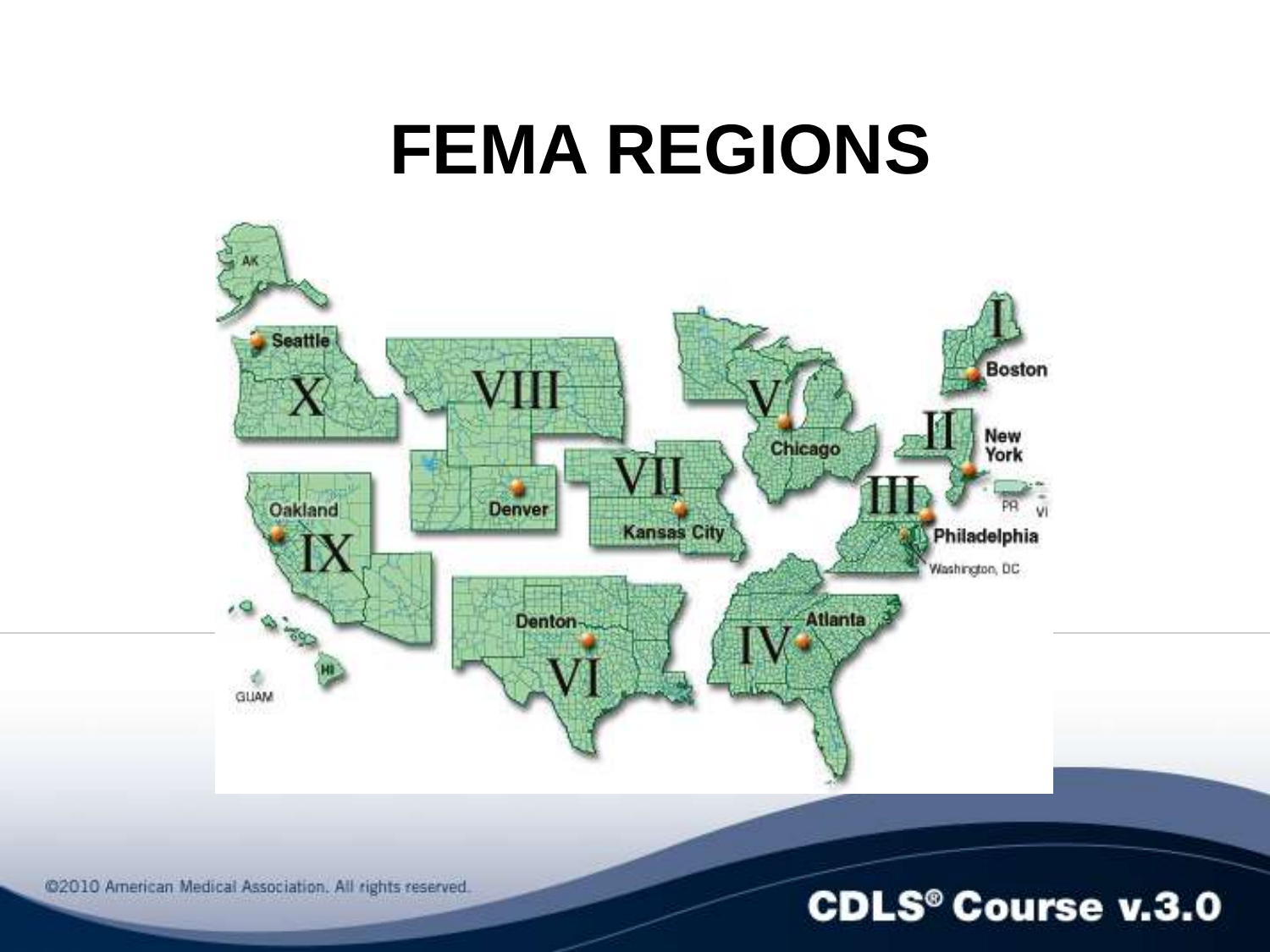### **FEMA REGIONS**



@2010 American Medical Association. All rights reserved.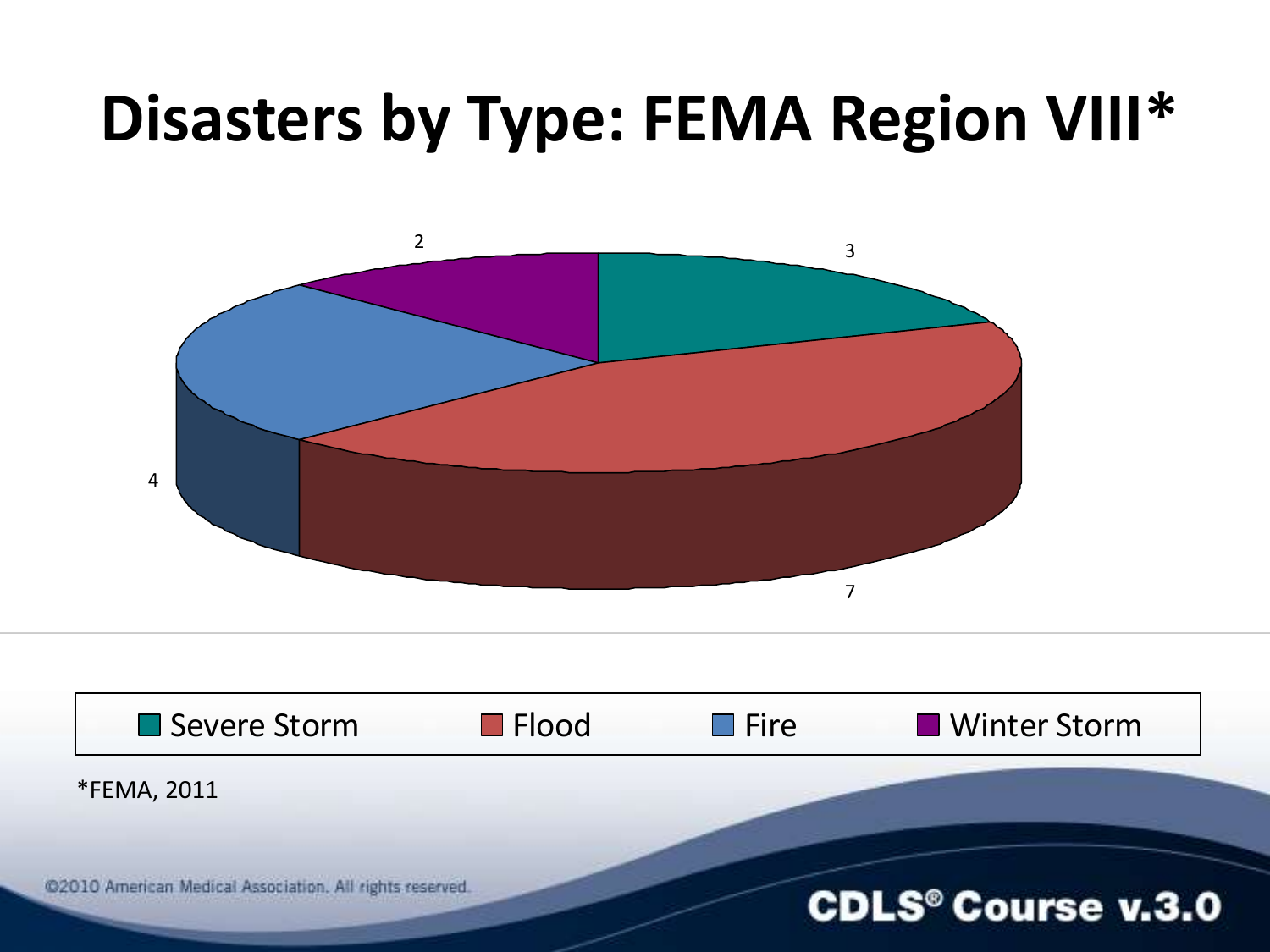### **Disasters by Type: FEMA Region VIII\***

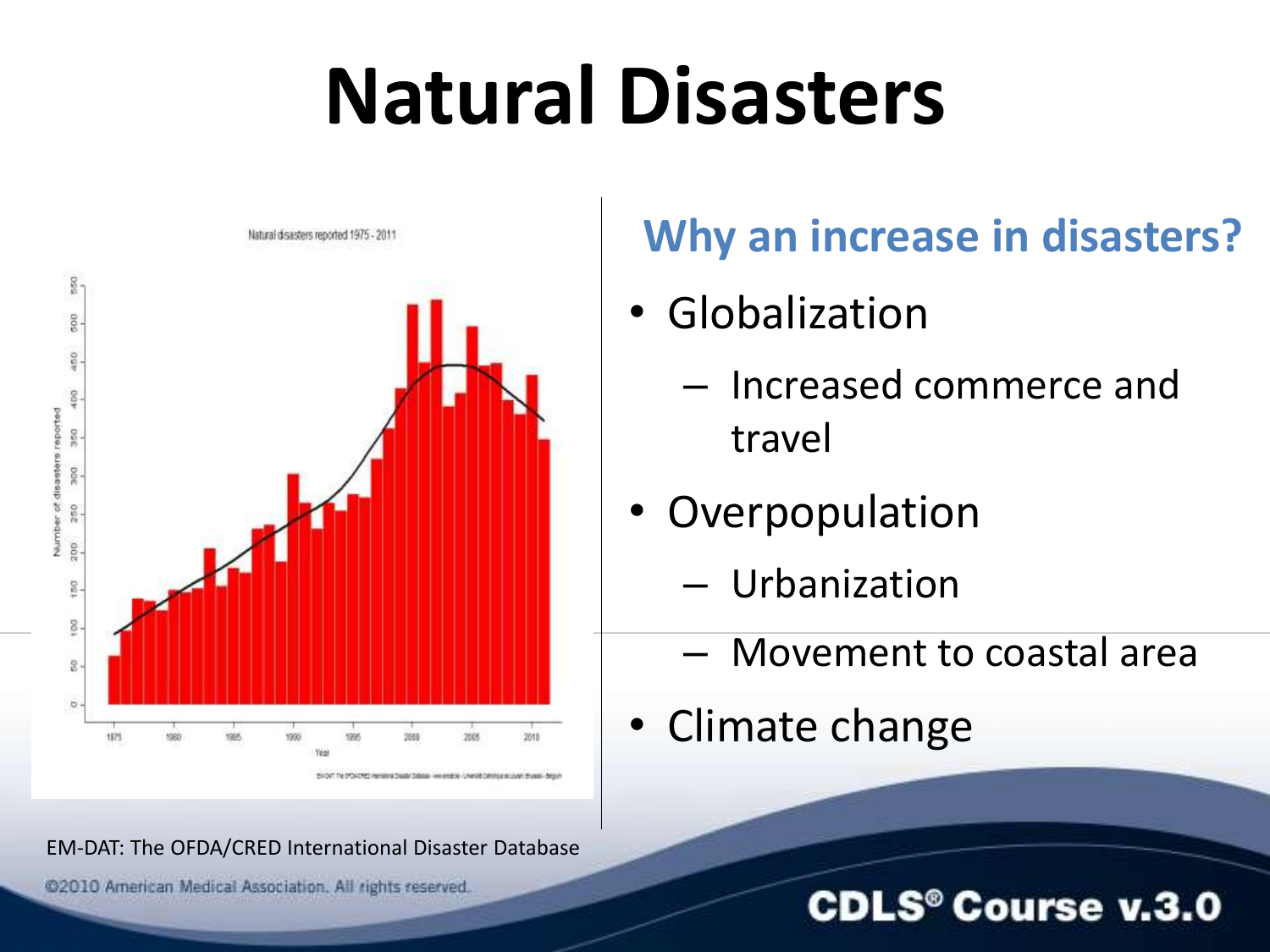## **Natural Disasters**



#### EM-DAT: The OFDA/CRED International Disaster Database

@2010 American Medical Association. All rights reserved.

#### **Why an increase in disasters?**

- Globalization
	- Increased commerce and travel
- Overpopulation
	- Urbanization
	- Movement to coastal area
- Climate change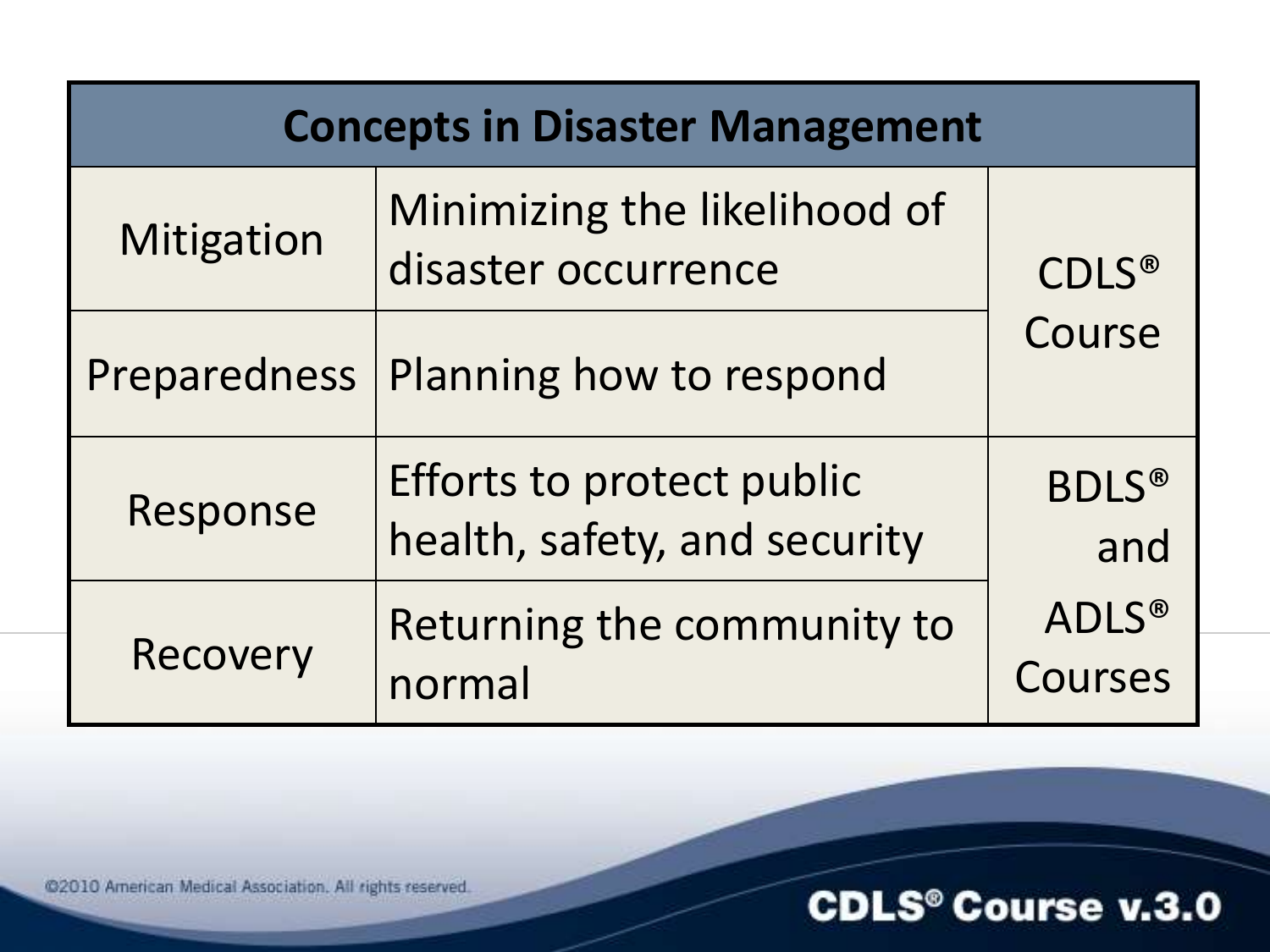| <b>Concepts in Disaster Management</b> |                                                           |                         |
|----------------------------------------|-----------------------------------------------------------|-------------------------|
| Mitigation                             | Minimizing the likelihood of<br>disaster occurrence       | <b>CDLS®</b>            |
| <b>Preparedness</b>                    | Planning how to respond                                   | Course                  |
| Response                               | Efforts to protect public<br>health, safety, and security | <b>BDLS®</b><br>and     |
| Recovery                               | Returning the community to<br>normal                      | <b>ADLS®</b><br>Courses |

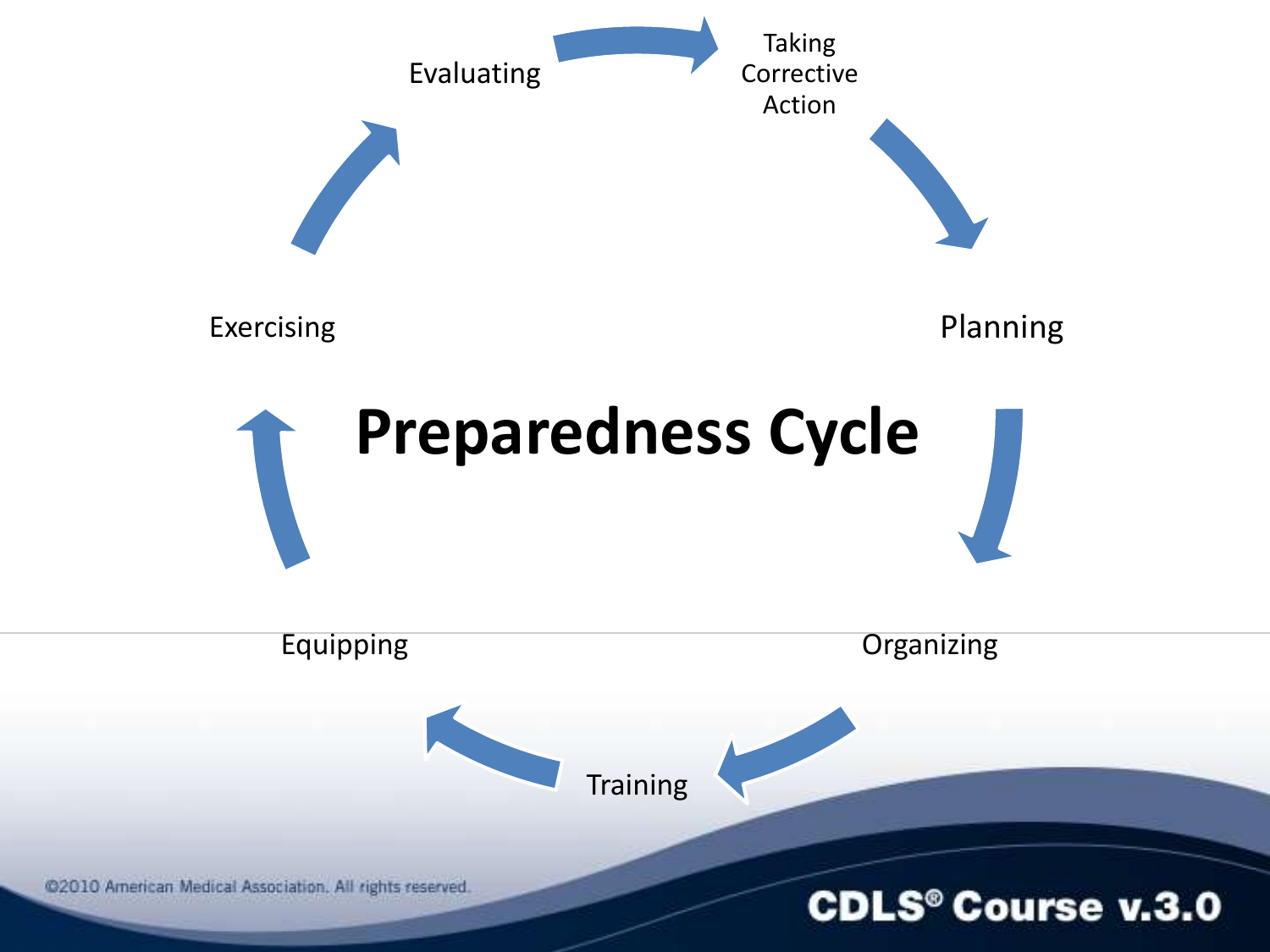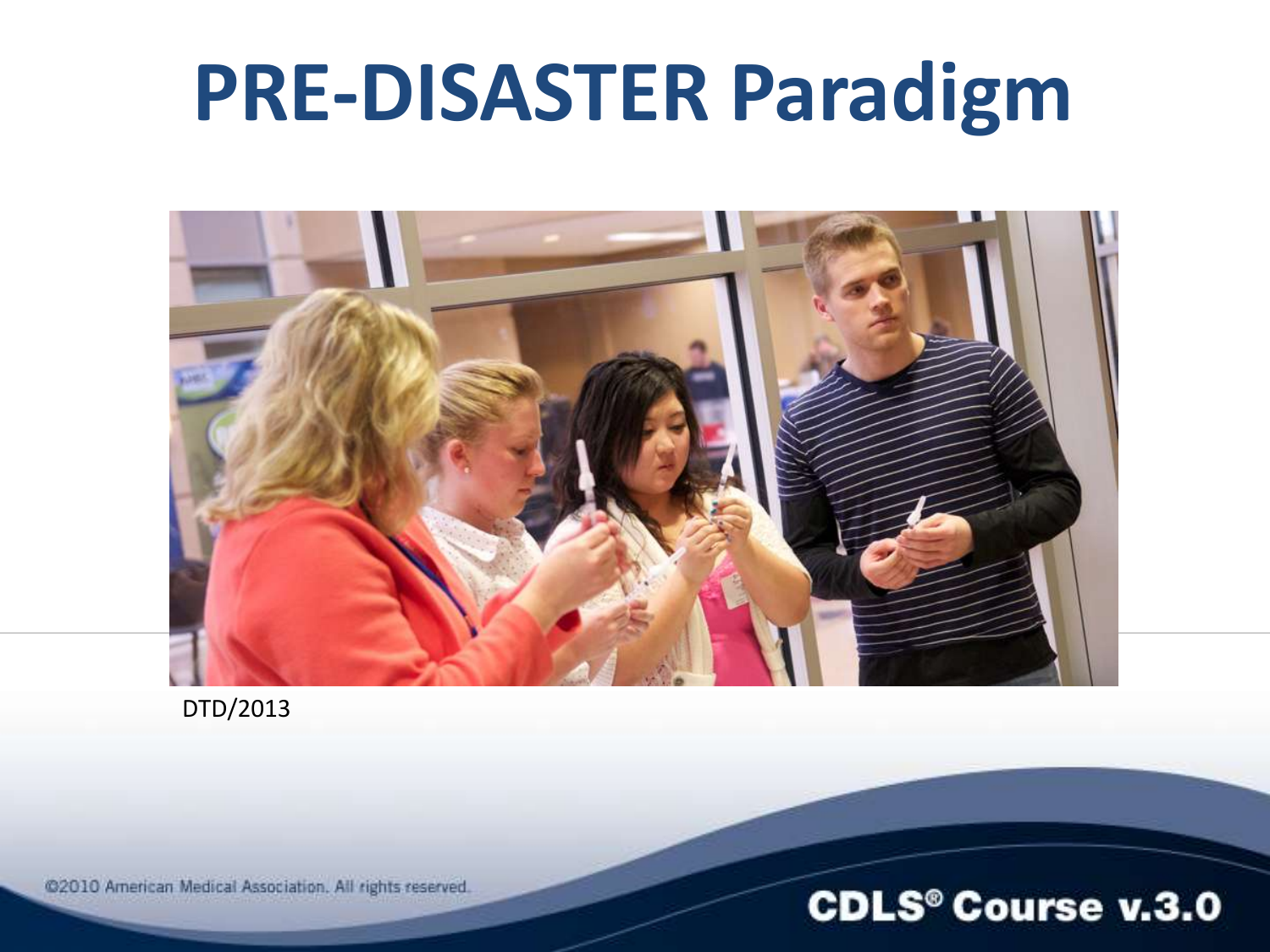### **PRE-DISASTER Paradigm**



DTD/2013

@2010 American Medical Association. All rights reserved.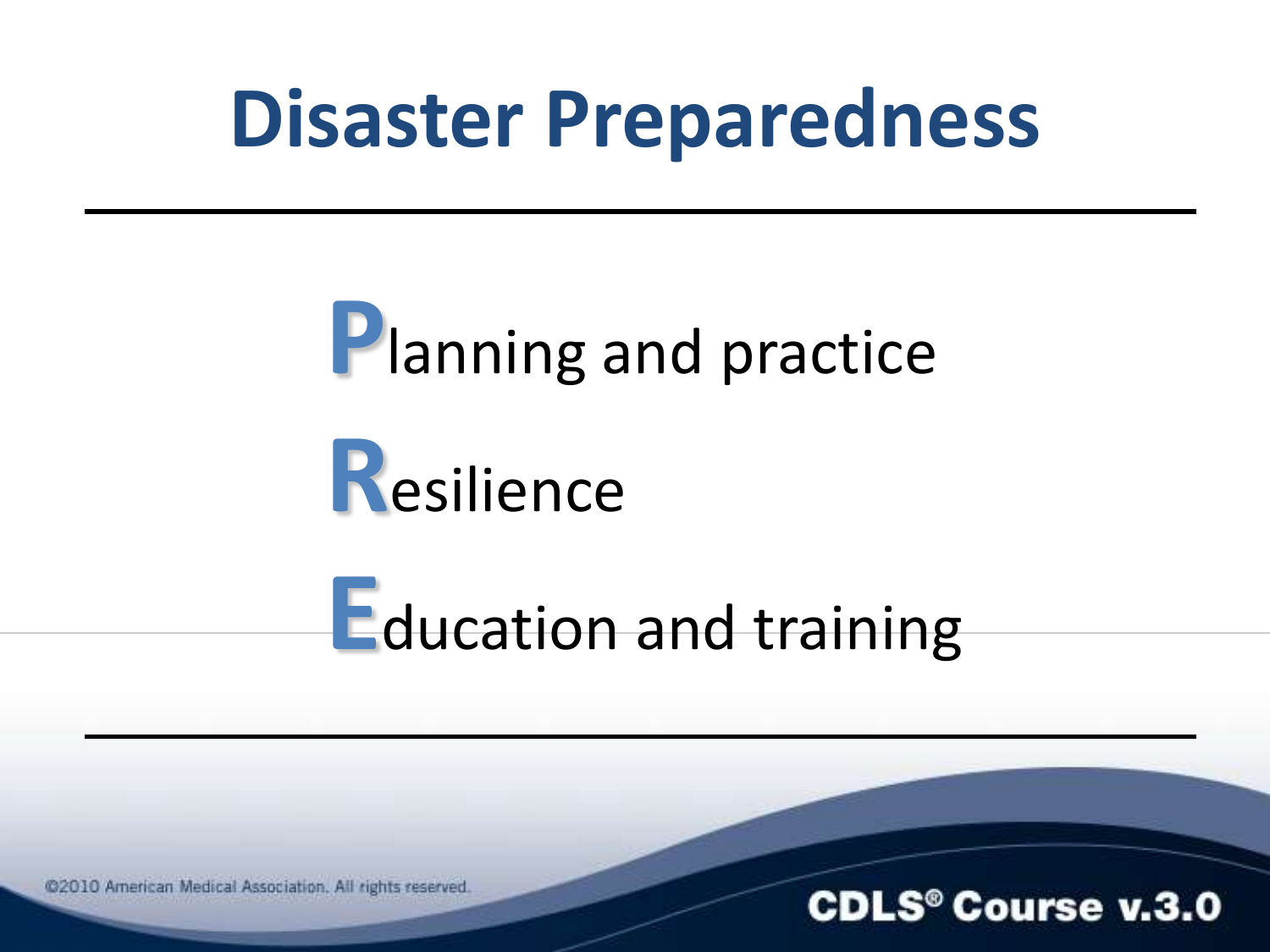### **Disaster Preparedness**

### **Planning and practice**



### **Education and training**

@2010 American Medical Association. All rights reserved.

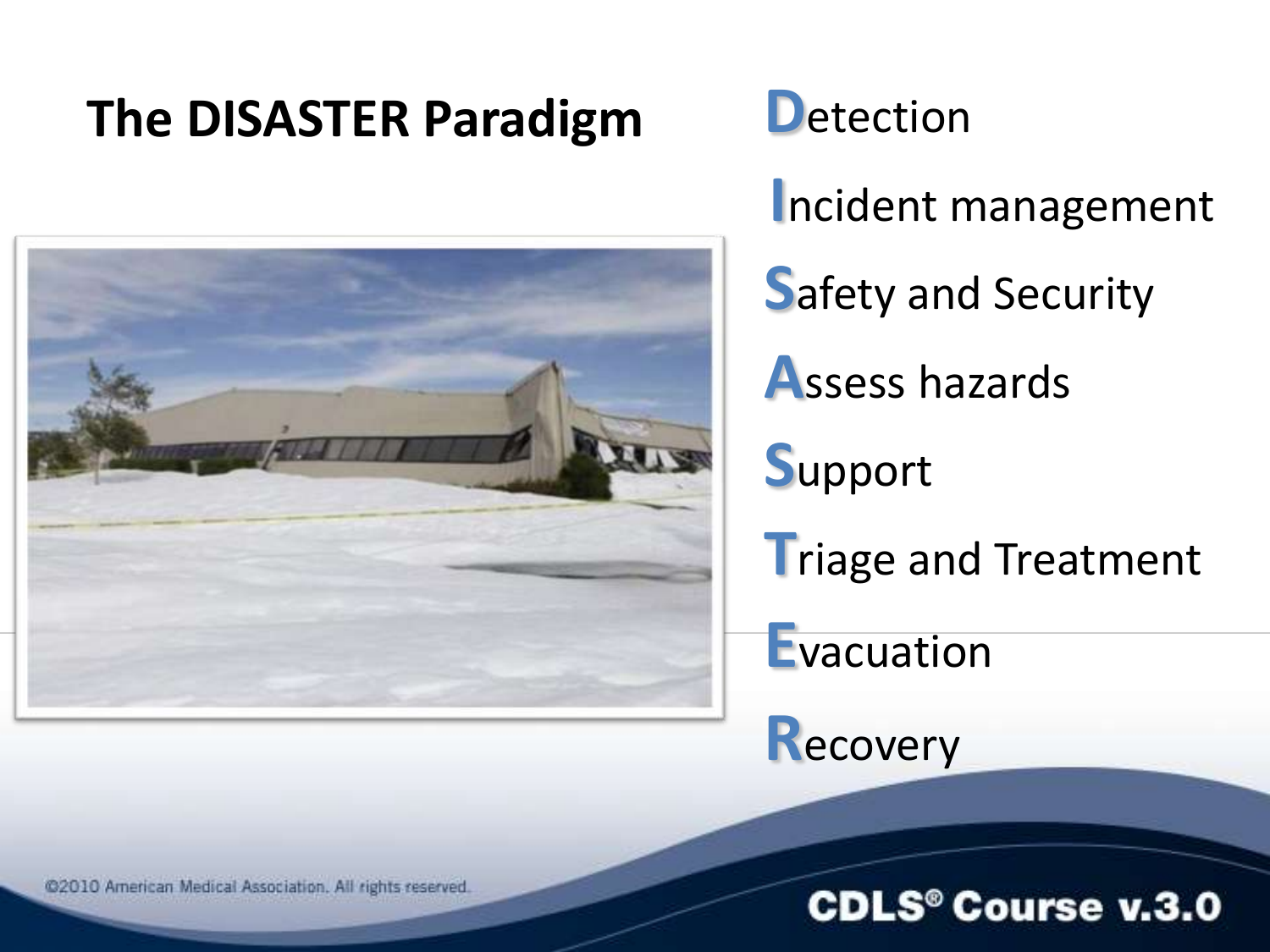### **The DISASTER Paradigm**



**D**etection

Incident management

**Safety and Security** 

**Assess hazards** 

Support

**Triage and Treatment** 

Evacuation

Recovery

@2010 American Medical Association. All rights reserved.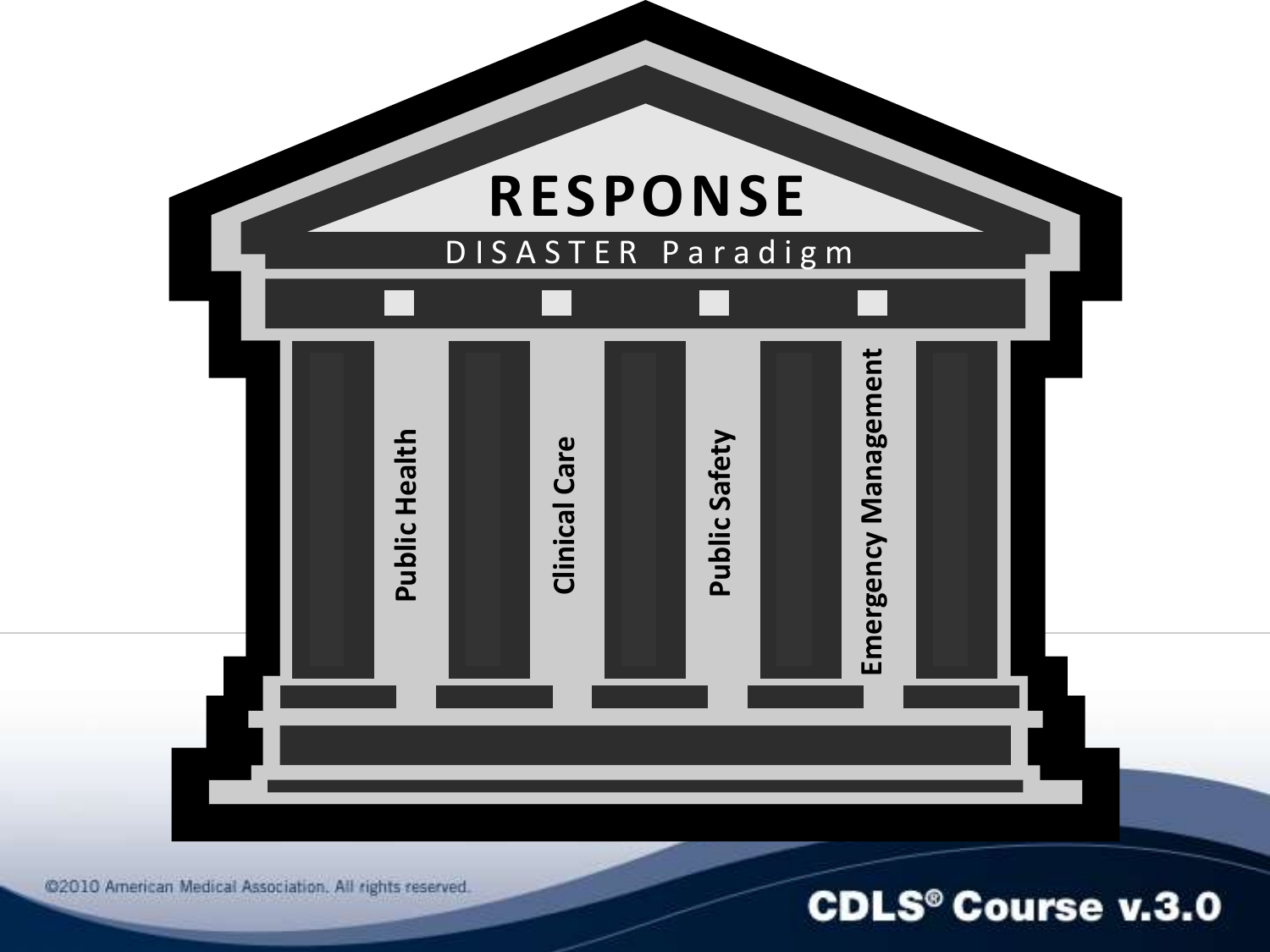

@2010 American Medical Association. All rights reserved.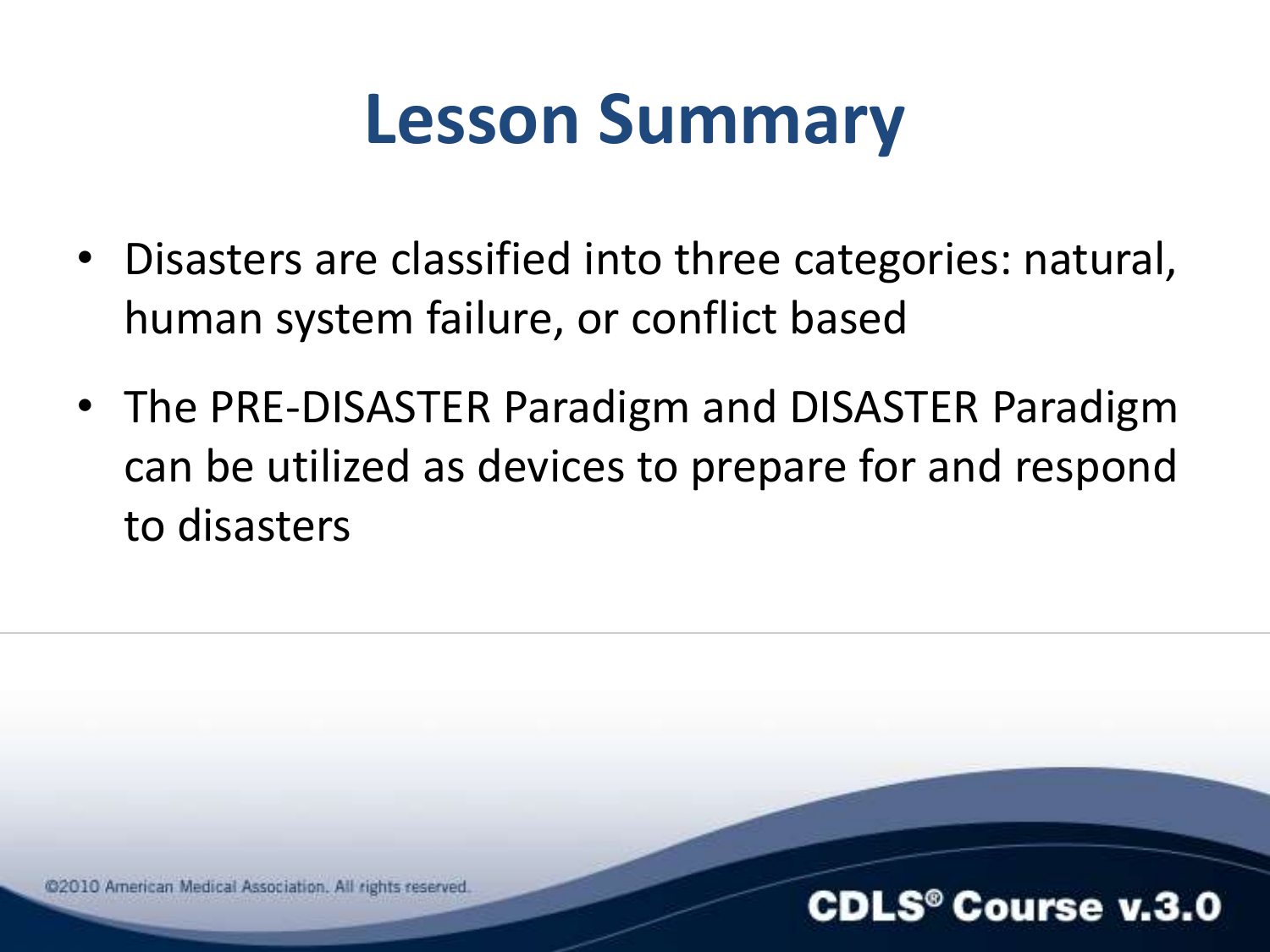### **Lesson Summary**

- Disasters are classified into three categories: natural, human system failure, or conflict based
- The PRE-DISASTER Paradigm and DISASTER Paradigm can be utilized as devices to prepare for and respond to disasters